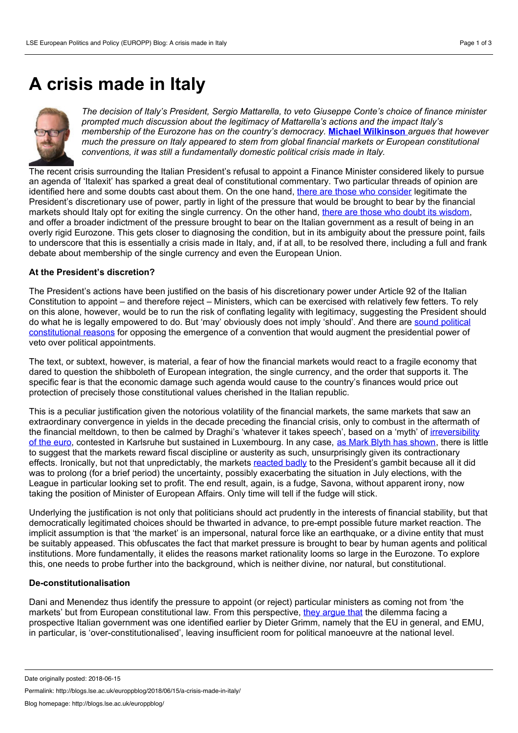# <span id="page-0-0"></span>**A crisis made in Italy**



*The decision of Italy's President, Sergio Mattarella, to veto Giuseppe Conte's choice of finance minister prompted much discussion about the legitimacy of Mattarella's actions and the impact Italy's membership of the Eurozone has on the country's democracy.* **Michael [Wilkinson](#page-0-0)** *argues that however much the pressure on Italy appeared to stem from global financial markets or European constitutional conventions, it was still a fundamentally domestic political crisis made in Italy.*

The recent crisis surrounding the Italian President's refusal to appoint a Finance Minister considered likely to pursue an agenda of 'Italexit' has sparked a great deal of constitutional commentary. Two particular threads of opinion are identified here and some doubts cast about them. On the one hand, there are those who [consider](https://verfassungsblog.de/why-the-italian-presidents-decision-was-legitimate/) legitimate the President's discretionary use of power, partly in light of the pressure that would be brought to bear by the financial markets should Italy opt for exiting the single currency. On the other hand, there are those who doubt its [wisdom](https://verfassungsblog.de/the-savona-affaire-overconstitutionalization-in-action/), and offer a broader indictment of the pressure brought to bear on the Italian government as a result of being in an overly rigid Eurozone. This gets closer to diagnosing the condition, but in its ambiguity about the pressure point, fails to underscore that this is essentially a crisis made in Italy, and, if at all, to be resolved there, including a full and frank debate about membership of the single currency and even the European Union.

### **At the President's discretion?**

The President's actions have been justified on the basis of his discretionary power under Article 92 of the Italian Constitution to appoint – and therefore reject – Ministers, which can be exercised with relatively few fetters. To rely on this alone, however, would be to run the risk of conflating legality with legitimacy, suggesting the President should do what he is legally empowered to do. But 'may' obviously does notimply 'should'. And there are sound political [constitutional](https://ukconstitutionallaw.org/2018/05/30/panagiotis-doudonis-constitutional-conventions-and-the-italian-president/) reasons for opposing the emergence of a convention that would augment the presidential power of veto over political appointments.

The text, or subtext, however, is material, a fear of how the financial markets would react to a fragile economy that dared to question the shibboleth of European integration, the single currency, and the order that supports it. The specific fear is that the economic damage such agenda would cause to the country's finances would price out protection of precisely those constitutional values cherished in the Italian republic.

This is a peculiar justification given the notorious volatility of the financial markets, the same markets that saw an extraordinary convergence in yields in the decade preceding the financial crisis, only to combust in the aftermath of the financial meltdown, to then be calmed by Draghi's 'whatever it takes speech', based on a 'myth' of irreversibility of the euro, contested in Karlsruhe but sustained in [Luxembourg.](https://papers.ssrn.com/sol3/papers.cfm?abstract_id=3082160) In any case, as Mark Blyth has [shown,](https://www.amazon.co.uk/Austerity-History-Dangerous-Mark-Blyth/dp/019982830X) there is little to suggest that the markets reward fiscal discipline or austerity as such, unsurprisingly given its contractionary effects. Ironically, but not that unpredictably, the markets [reacted](https://adamtooze.com/2018/05/29/european-political-economy-italys-elite-chooses-a-strategy-of-tension/) badly to the President's gambit because all it did was to prolong (for a brief period) the uncertainty, possibly exacerbating the situation in July elections, with the League in particular looking set to profit. The end result, again, is a fudge, Savona, without apparent irony, now taking the position of Minister of European Affairs. Only time will tell if the fudge will stick.

Underlying the justification is notonly that politicians should act prudently in the interests of financial stability, but that democratically legitimated choices should be thwarted in advance, to pre-empt possible future market reaction. The implicit assumption is that 'the market' is an impersonal, natural force like an earthquake, or a divine entity that must be suitably appeased. This obfuscates the fact that market pressure is brought to bear by human agents and political institutions. More fundamentally, it elides the reasons market rationality looms so large in the Eurozone. To explore this, one needs to probe further into the background, which is neither divine, nor natural, but constitutional.

### **De-constitutionalisation**

Dani and Menendez thus identify the pressure to appoint (or reject) particular ministers as coming not from 'the markets' but from European constitutional law. From this perspective, they [argue](https://verfassungsblog.de/the-savona-affaire-overconstitutionalization-in-action/) that the dilemma facing a prospective Italian government was one identified earlier by Dieter Grimm, namely that the EU in general, and EMU, in particular, is 'over-constitutionalised', leaving insufficient room for political manoeuvre at the national level.

Permalink: http://blogs.lse.ac.uk/europpblog/2018/06/15/a-crisis-made-in-italy/

Date originally posted: 2018-06-15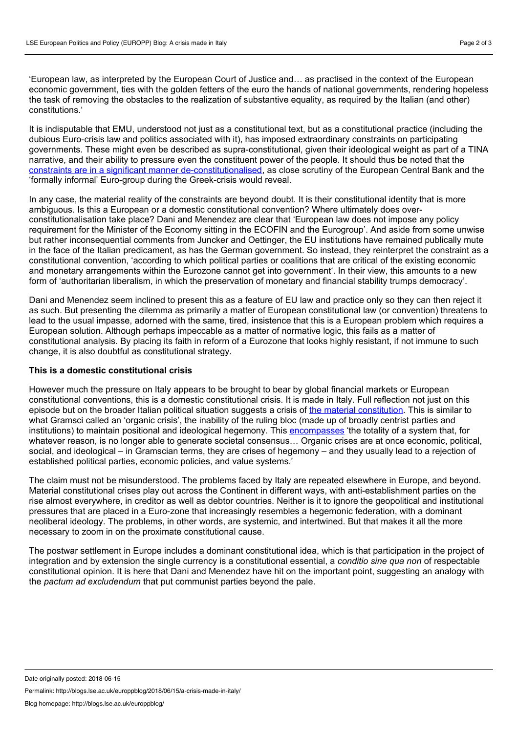'European law, as interpreted by the European Court of Justice and... as practised in the context of the European economic government, ties with the golden fetters of the euro the hands of national governments, rendering hopeless the task of removing the obstacles to the realization of substantive equality, as required by the Italian (and other) constitutions.'

It is indisputable that EMU, understood not just as a constitutional text, but as a constitutional practice (including the dubious Euro-crisis law and politics associated with it), has imposed extraordinary constraints on participating governments. These might even be described as supra-constitutional, given their ideological weight as part of a TINA narrative, and their ability to pressure even the constituent power of the people. It should thus be noted that the constraints are in a significant manner [de-constitutionalised](https://papers.ssrn.com/sol3/papers.cfm?abstract_id=3082160), as close scrutiny of the European Central Bank and the 'formally informal' Euro-group during the Greek-crisis would reveal.

In any case, the material reality of the constraints are beyond doubt. It is their constitutional identity that is more ambiguous. Is this a European or a domestic constitutional convention? Where ultimately does over constitutionalisation take place? Dani and Menendez are clear that 'European law does not impose any policy requirement for the Minister of the Economy sitting in the ECOFIN and the Eurogroup'. And aside from some unwise but rather inconsequential comments from Juncker and Oettinger, the EU institutions have remained publically mute in the face of the Italian predicament, as has the German government. So instead, they reinterpret the constraint as a constitutional convention, 'according to which political parties or coalitions that are critical of the existing economic and monetary arrangements within the Eurozone cannot get into government'. In their view, this amounts to a new form of 'authoritarian liberalism, in which the preservation of monetary and financial stability trumps democracy'.

Dani and Menendez seem inclined to present this as a feature of EU law and practice only so they can then reject it as such. But presenting the dilemma as primarily a matter of European constitutional law (or convention) threatens to lead to the usual impasse, adorned with the same, tired, insistence that this is a European problem which requires a European solution. Although perhaps impeccable as a matter of normative logic, this fails as a matter of constitutional analysis. By placing its faith in reform of a Eurozone that looks highly resistant, if not immune to such change, it is also doubtful as constitutional strategy.

### **This is a domestic constitutional crisis**

However much the pressure on Italy appears to be brought to bear by global financial markets or European constitutional conventions, this is a domestic constitutional crisis. It is made in Italy. Full reflection not just on this episode but on the broader Italian political situation suggests a crisis of the material [constitution](https://papers.ssrn.com/sol3/papers.cfm?abstract_id=2875774). This is similar to what Gramsci called an 'organic crisis', the inability of the ruling bloc (made up of broadly centrist parties and institutions) to maintain positional and ideological hegemony. This [encompasses](https://americanaffairsjournal.org/favicon.ico) 'the totality of a system that, for whatever reason, is no longer able to generate societal consensus… Organic crises are at once economic, political, social, and ideological – in Gramscian terms, they are crises of hegemony – and they usually lead to a rejection of established political parties, economic policies, and value systems.'

The claim must not be misunderstood. The problems faced by Italy are repeated elsewhere in Europe, and beyond. Material constitutional crises play out across the Continent in different ways, with anti-establishment parties on the rise almost everywhere, in creditor as well as debtor countries. Neither is it to ignore the geopolitical and institutional pressures that are placed in a Euro-zone that increasingly resembles a hegemonic federation, with a dominant neoliberal ideology. The problems, in other words, are systemic, and intertwined. But that makes it all the more necessary to zoom in on the proximate constitutional cause.

The postwar settlement in Europe includes a dominant constitutional idea, which is that participation in the project of integration and by extension the single currency is a constitutional essential, a *conditio sine qua non* of respectable constitutional opinion. It is here that Dani and Menendez have hit on the important point, suggesting an analogy with the *pactum ad excludendum* that put communist parties beyond the pale.

Permalink: http://blogs.lse.ac.uk/europpblog/2018/06/15/a-crisis-made-in-italy/

Date originally posted: 2018-06-15